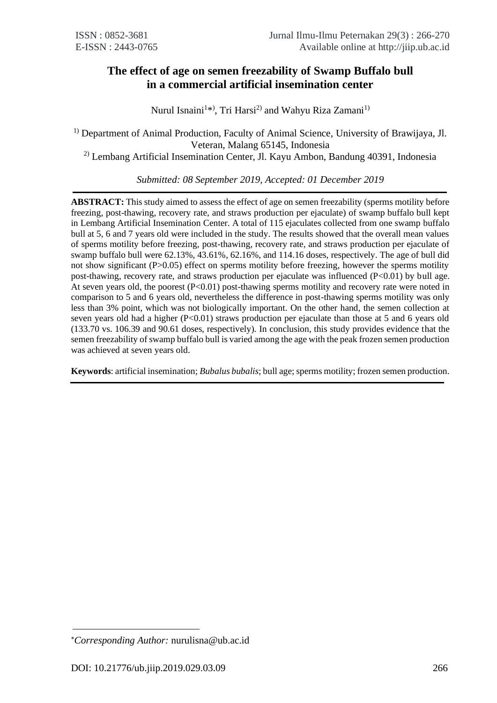# **The effect of age on semen freezability of Swamp Buffalo bull in a commercial artificial insemination center**

Nurul Isnaini<sup>1\*</sup><sup>)</sup>, Tri Harsi<sup>2)</sup> and Wahyu Riza Zamani<sup>1)</sup>

<sup>1)</sup> Department of Animal Production, Faculty of Animal Science, University of Brawijaya, Jl. Veteran, Malang 65145, Indonesia

2) Lembang Artificial Insemination Center, Jl. Kayu Ambon, Bandung 40391, Indonesia

*Submitted: 08 September 2019, Accepted: 01 December 2019*

**ABSTRACT:** This study aimed to assess the effect of age on semen freezability (sperms motility before freezing, post-thawing, recovery rate, and straws production per ejaculate) of swamp buffalo bull kept in Lembang Artificial Insemination Center. A total of 115 ejaculates collected from one swamp buffalo bull at 5, 6 and 7 years old were included in the study. The results showed that the overall mean values of sperms motility before freezing, post-thawing, recovery rate, and straws production per ejaculate of swamp buffalo bull were 62.13%, 43.61%, 62.16%, and 114.16 doses, respectively. The age of bull did not show significant (P>0.05) effect on sperms motility before freezing, however the sperms motility post-thawing, recovery rate, and straws production per ejaculate was influenced  $(P<0.01)$  by bull age. At seven years old, the poorest (P<0.01) post-thawing sperms motility and recovery rate were noted in comparison to 5 and 6 years old, nevertheless the difference in post-thawing sperms motility was only less than 3% point, which was not biologically important. On the other hand, the semen collection at seven years old had a higher  $(P<0.01)$  straws production per ejaculate than those at 5 and 6 years old (133.70 vs. 106.39 and 90.61 doses, respectively). In conclusion, this study provides evidence that the semen freezability of swamp buffalo bull is varied among the age with the peak frozen semen production was achieved at seven years old.

**Keywords**: artificial insemination; *Bubalus bubalis*; bull age; sperms motility; frozen semen production.

*Corresponding Author:* [nurulisna@ub.ac.id](mailto:nurulisna@ub.ac.id)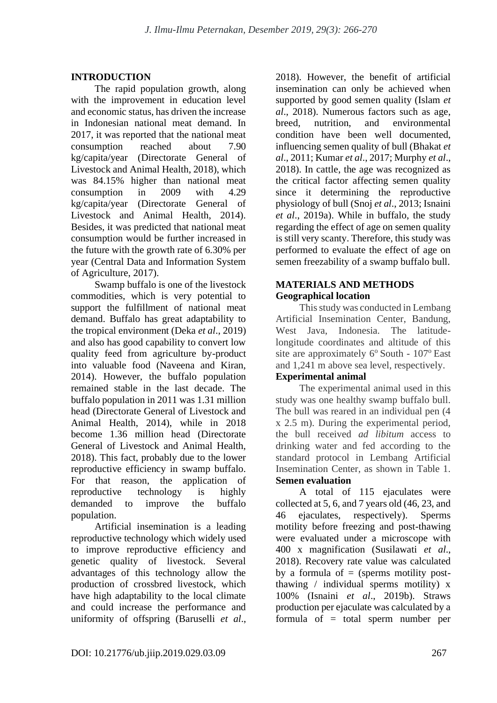## **INTRODUCTION**

The rapid population growth, along with the improvement in education level and economic status, has driven the increase in Indonesian national meat demand. In 2017, it was reported that the national meat consumption reached about 7.90 kg/capita/year (Directorate General of Livestock and Animal Health, 2018), which was 84.15% higher than national meat consumption in 2009 with 4.29 kg/capita/year (Directorate General of Livestock and Animal Health, 2014). Besides, it was predicted that national meat consumption would be further increased in the future with the growth rate of 6.30% per year (Central Data and Information System of Agriculture, 2017).

Swamp buffalo is one of the livestock commodities, which is very potential to support the fulfillment of national meat demand. Buffalo has great adaptability to the tropical environment (Deka *et al*., 2019) and also has good capability to convert low quality feed from agriculture by-product into valuable food (Naveena and Kiran, 2014). However, the buffalo population remained stable in the last decade. The buffalo population in 2011 was 1.31 million head (Directorate General of Livestock and Animal Health, 2014), while in 2018 become 1.36 million head (Directorate General of Livestock and Animal Health, 2018). This fact, probably due to the lower reproductive efficiency in swamp buffalo. For that reason, the application of reproductive technology is highly demanded to improve the buffalo population.

Artificial insemination is a leading reproductive technology which widely used to improve reproductive efficiency and genetic quality of livestock. Several advantages of this technology allow the production of crossbred livestock, which have high adaptability to the local climate and could increase the performance and uniformity of offspring (Baruselli *et al*.,

2018). However, the benefit of artificial insemination can only be achieved when supported by good semen quality (Islam *et al*., 2018). Numerous factors such as age, breed, nutrition, and environmental condition have been well documented, influencing semen quality of bull (Bhakat *et al*., 2011; Kumar *et al*., 2017; Murphy *et al*., 2018). In cattle, the age was recognized as the critical factor affecting semen quality since it determining the reproductive physiology of bull (Snoj *et al*., 2013; Isnaini *et al*., 2019a). While in buffalo, the study regarding the effect of age on semen quality is still very scanty. Therefore, this study was performed to evaluate the effect of age on semen freezability of a swamp buffalo bull.

### **MATERIALS AND METHODS Geographical location**

This study was conducted in Lembang Artificial Insemination Center, Bandung, West Java, Indonesia. The latitudelongitude coordinates and altitude of this site are approximately  $6^{\circ}$  South -  $107^{\circ}$  East and 1,241 m above sea level, respectively.

## **Experimental animal**

The experimental animal used in this study was one healthy swamp buffalo bull. The bull was reared in an individual pen (4 x 2.5 m). During the experimental period, the bull received *ad libitum* access to drinking water and fed according to the standard protocol in Lembang Artificial Insemination Center, as shown in Table 1. **Semen evaluation**

A total of 115 ejaculates were collected at 5, 6, and 7 years old (46, 23, and 46 ejaculates, respectively). Sperms motility before freezing and post-thawing were evaluated under a microscope with 400 x magnification (Susilawati *et al*., 2018). Recovery rate value was calculated by a formula of  $=$  (sperms motility postthawing / individual sperms motility) x 100% (Isnaini *et al*., 2019b). Straws production per ejaculate was calculated by a formula of = total sperm number per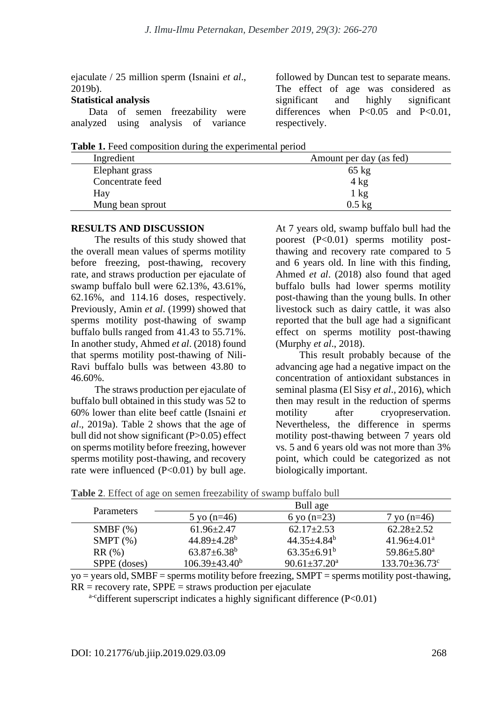ejaculate / 25 million sperm (Isnaini *et al*., 2019b).

### **Statistical analysis**

| Data of semen freezability were     |  |  |  |  |
|-------------------------------------|--|--|--|--|
| analyzed using analysis of variance |  |  |  |  |

followed by Duncan test to separate means. The effect of age was considered as significant and highly significant differences when P<0.05 and P<0.01, respectively.

**Table 1.** Feed composition during the experimental period

| Ingredient       |  | Amount per day (as fed) |
|------------------|--|-------------------------|
| Elephant grass   |  | $65 \text{ kg}$         |
| Concentrate feed |  | $4 \text{ kg}$          |
| Hay              |  | $1 \text{ kg}$          |
| Mung bean sprout |  | $0.5 \text{ kg}$        |

#### **RESULTS AND DISCUSSION**

The results of this study showed that the overall mean values of sperms motility before freezing, post-thawing, recovery rate, and straws production per ejaculate of swamp buffalo bull were 62.13%, 43.61%, 62.16%, and 114.16 doses, respectively. Previously, Amin *et al*. (1999) showed that sperms motility post-thawing of swamp buffalo bulls ranged from 41.43 to 55.71%. In another study, Ahmed *et al*. (2018) found that sperms motility post-thawing of Nili-Ravi buffalo bulls was between 43.80 to 46.60%.

The straws production per ejaculate of buffalo bull obtained in this study was 52 to 60% lower than elite beef cattle (Isnaini *et al*., 2019a). Table 2 shows that the age of bull did not show significant (P>0.05) effect on sperms motility before freezing, however sperms motility post-thawing, and recovery rate were influenced  $(P<0.01)$  by bull age.

At 7 years old, swamp buffalo bull had the poorest (P<0.01) sperms motility postthawing and recovery rate compared to 5 and 6 years old. In line with this finding, Ahmed *et al*. (2018) also found that aged buffalo bulls had lower sperms motility post-thawing than the young bulls. In other livestock such as dairy cattle, it was also reported that the bull age had a significant effect on sperms motility post-thawing (Murphy *et al*., 2018).

This result probably because of the advancing age had a negative impact on the concentration of antioxidant substances in seminal plasma (El Sisy *et al*., 2016), which then may result in the reduction of sperms motility after cryopreservation. Nevertheless, the difference in sperms motility post-thawing between 7 years old vs. 5 and 6 years old was not more than 3% point, which could be categorized as not biologically important.

|                   | Bull age                      |                                |                                 |  |  |  |
|-------------------|-------------------------------|--------------------------------|---------------------------------|--|--|--|
| <b>Parameters</b> | 5 yo $(n=46)$                 | 6 yo $(n=23)$                  | $7 \text{ yo} (n=46)$           |  |  |  |
| $SMBF$ $(\%)$     | $61.96 \pm 2.47$              | $62.17 + 2.53$                 | $62.28 \pm 2.52$                |  |  |  |
| SMPT $(\%)$       | $44.89 \pm 4.28$ <sup>b</sup> | $44.35 \pm 4.84^b$             | $41.96 \pm 4.01^a$              |  |  |  |
| RR(%)             | $63.87 \pm 6.38^{\rm b}$      | $63.35 \pm 6.91^b$             | $59.86 \pm 5.80^a$              |  |  |  |
| SPPE (doses)      | $106.39 \pm 43.40^b$          | $90.61 \pm 37.20$ <sup>a</sup> | $133.70 \pm 36.73$ <sup>c</sup> |  |  |  |

**Table 2**. Effect of age on semen freezability of swamp buffalo bull

 $yo = years$  old, SMBF = sperms motility before freezing, SMPT = sperms motility post-thawing,  $RR = recovery$  rate,  $SPE =$  straws production per ejaculate

a-cdifferent superscript indicates a highly significant difference (P<0.01)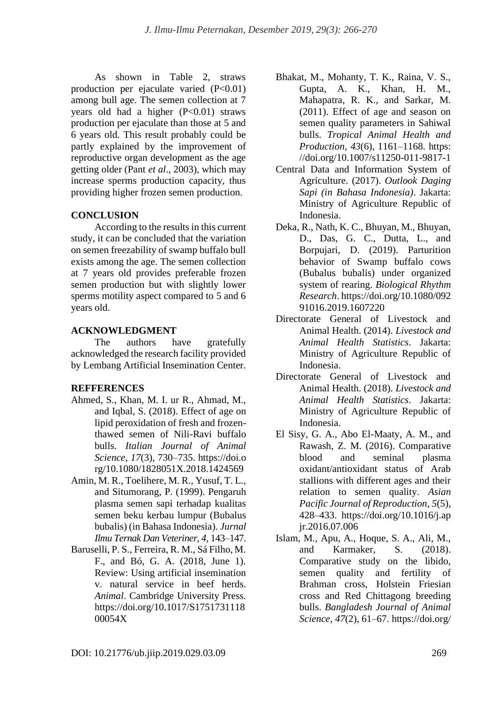As shown in Table 2, straws production per ejaculate varied  $(P<0.01)$ among bull age. The semen collection at 7 years old had a higher  $(P<0.01)$  straws production per ejaculate than those at 5 and 6 years old. This result probably could be partly explained by the improvement of reproductive organ development as the age getting older (Pant *et al*., 2003), which may increase sperms production capacity, thus providing higher frozen semen production.

## **CONCLUSION**

According to the results in this current study, it can be concluded that the variation on semen freezability of swamp buffalo bull exists among the age. The semen collection at 7 years old provides preferable frozen semen production but with slightly lower sperms motility aspect compared to 5 and 6 years old.

### **ACKNOWLEDGMENT**

The authors have gratefully acknowledged the research facility provided by Lembang Artificial Insemination Center.

## **REFFERENCES**

- Ahmed, S., Khan, M. I. ur R., Ahmad, M., and Iqbal, S. (2018). Effect of age on lipid peroxidation of fresh and frozenthawed semen of Nili-Ravi buffalo bulls. *Italian Journal of Animal Science*, *17*(3), 730–735. https://doi.o rg/10.1080/1828051X.2018.1424569
- Amin, M. R., Toelihere, M. R., Yusuf, T. L., and Situmorang, P. (1999). Pengaruh plasma semen sapi terhadap kualitas semen beku kerbau lumpur (Bubalus bubalis) (in Bahasa Indonesia). *Jurnal Ilmu Ternak Dan Veteriner*, *4*, 143–147.
- Baruselli, P. S., Ferreira, R. M., Sá Filho, M. F., and Bó, G. A. (2018, June 1). Review: Using artificial insemination v. natural service in beef herds. *Animal*. Cambridge University Press. https://doi.org/10.1017/S1751731118 00054X
- Bhakat, M., Mohanty, T. K., Raina, V. S., Gupta, A. K., Khan, H. M., Mahapatra, R. K., and Sarkar, M. (2011). Effect of age and season on semen quality parameters in Sahiwal bulls. *Tropical Animal Health and Production*, *43*(6), 1161–1168. https: //doi.org/10.1007/s11250-011-9817-1
- Central Data and Information System of Agriculture. (2017). *Outlook Daging Sapi (in Bahasa Indonesia)*. Jakarta: Ministry of Agriculture Republic of Indonesia.
- Deka, R., Nath, K. C., Bhuyan, M., Bhuyan, D., Das, G. C., Dutta, L., and Borpujari, D. (2019). Parturition behavior of Swamp buffalo cows (Bubalus bubalis) under organized system of rearing. *Biological Rhythm Research*. https://doi.org/10.1080/092 91016.2019.1607220
- Directorate General of Livestock and Animal Health. (2014). *Livestock and Animal Health Statistics*. Jakarta: Ministry of Agriculture Republic of Indonesia.
- Directorate General of Livestock and Animal Health. (2018). *Livestock and Animal Health Statistics*. Jakarta: Ministry of Agriculture Republic of Indonesia.
- El Sisy, G. A., Abo El-Maaty, A. M., and Rawash, Z. M. (2016). Comparative blood and seminal plasma oxidant/antioxidant status of Arab stallions with different ages and their relation to semen quality. *Asian Pacific Journal of Reproduction*, *5*(5), 428–433. https://doi.org/10.1016/j.ap jr.2016.07.006
- Islam, M., Apu, A., Hoque, S. A., Ali, M., and Karmaker, S. (2018). Comparative study on the libido, semen quality and fertility of Brahman cross, Holstein Friesian cross and Red Chittagong breeding bulls. *Bangladesh Journal of Animal Science*, *47*(2), 61–67. https://doi.org/